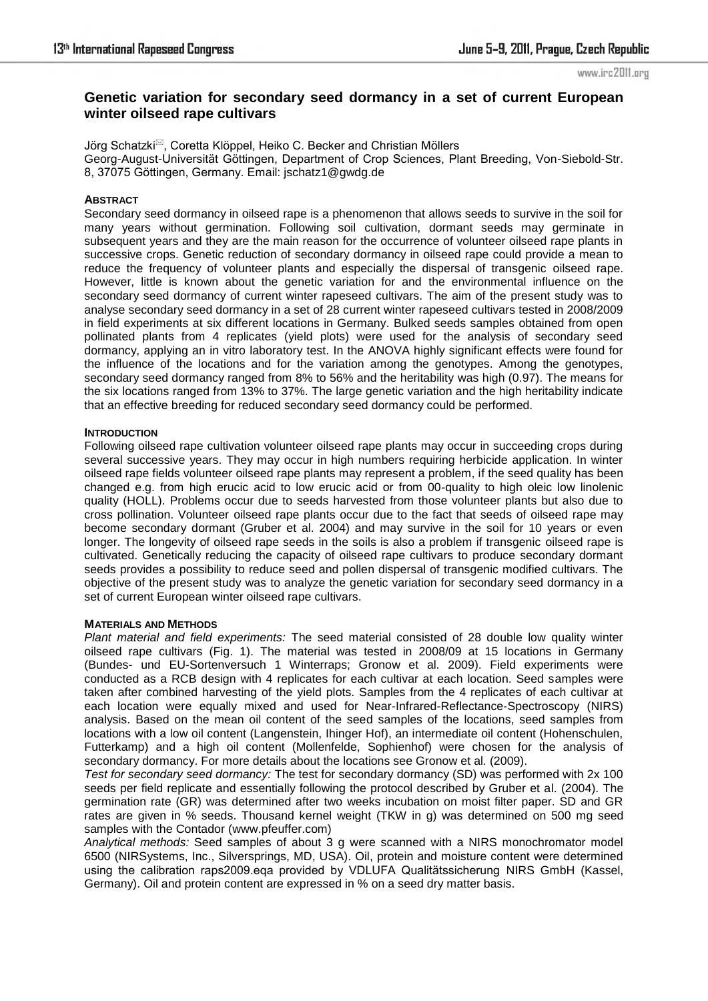#### www.irc2011.org

# **Genetic variation for secondary seed dormancy in a set of current European winter oilseed rape cultivars**

Jörg Schatzki<sup> $\boxtimes$ </sup>, Coretta Klöppel, Heiko C. Becker and Christian Möllers Georg-August-Universität Göttingen, Department of Crop Sciences, Plant Breeding, Von-Siebold-Str. 8, 37075 Göttingen, Germany. Email: jschatz1@gwdg.de

### **ABSTRACT**

Secondary seed dormancy in oilseed rape is a phenomenon that allows seeds to survive in the soil for many years without germination. Following soil cultivation, dormant seeds may germinate in subsequent years and they are the main reason for the occurrence of volunteer oilseed rape plants in successive crops. Genetic reduction of secondary dormancy in oilseed rape could provide a mean to reduce the frequency of volunteer plants and especially the dispersal of transgenic oilseed rape. However, little is known about the genetic variation for and the environmental influence on the secondary seed dormancy of current winter rapeseed cultivars. The aim of the present study was to analyse secondary seed dormancy in a set of 28 current winter rapeseed cultivars tested in 2008/2009 in field experiments at six different locations in Germany. Bulked seeds samples obtained from open pollinated plants from 4 replicates (yield plots) were used for the analysis of secondary seed dormancy, applying an in vitro laboratory test. In the ANOVA highly significant effects were found for the influence of the locations and for the variation among the genotypes. Among the genotypes, secondary seed dormancy ranged from 8% to 56% and the heritability was high (0.97). The means for the six locations ranged from 13% to 37%. The large genetic variation and the high heritability indicate that an effective breeding for reduced secondary seed dormancy could be performed.

### **INTRODUCTION**

Following oilseed rape cultivation volunteer oilseed rape plants may occur in succeeding crops during several successive years. They may occur in high numbers requiring herbicide application. In winter oilseed rape fields volunteer oilseed rape plants may represent a problem, if the seed quality has been changed e.g. from high erucic acid to low erucic acid or from 00-quality to high oleic low linolenic quality (HOLL). Problems occur due to seeds harvested from those volunteer plants but also due to cross pollination. Volunteer oilseed rape plants occur due to the fact that seeds of oilseed rape may become secondary dormant (Gruber et al. 2004) and may survive in the soil for 10 years or even longer. The longevity of oilseed rape seeds in the soils is also a problem if transgenic oilseed rape is cultivated. Genetically reducing the capacity of oilseed rape cultivars to produce secondary dormant seeds provides a possibility to reduce seed and pollen dispersal of transgenic modified cultivars. The objective of the present study was to analyze the genetic variation for secondary seed dormancy in a set of current European winter oilseed rape cultivars.

### **MATERIALS AND METHODS**

*Plant material and field experiments:* The seed material consisted of 28 double low quality winter oilseed rape cultivars (Fig. 1). The material was tested in 2008/09 at 15 locations in Germany (Bundes- und EU-Sortenversuch 1 Winterraps; Gronow et al. 2009). Field experiments were conducted as a RCB design with 4 replicates for each cultivar at each location. Seed samples were taken after combined harvesting of the yield plots. Samples from the 4 replicates of each cultivar at each location were equally mixed and used for Near-Infrared-Reflectance-Spectroscopy (NIRS) analysis. Based on the mean oil content of the seed samples of the locations, seed samples from locations with a low oil content (Langenstein, Ihinger Hof), an intermediate oil content (Hohenschulen, Futterkamp) and a high oil content (Mollenfelde, Sophienhof) were chosen for the analysis of secondary dormancy. For more details about the locations see Gronow et al. (2009).

*Test for secondary seed dormancy:* The test for secondary dormancy (SD) was performed with 2x 100 seeds per field replicate and essentially following the protocol described by Gruber et al. (2004). The germination rate (GR) was determined after two weeks incubation on moist filter paper. SD and GR rates are given in % seeds. Thousand kernel weight (TKW in g) was determined on 500 mg seed samples with the Contador (www.pfeuffer.com)

*Analytical methods:* Seed samples of about 3 g were scanned with a NIRS monochromator model 6500 (NIRSystems, Inc., Silversprings, MD, USA). Oil, protein and moisture content were determined using the calibration raps2009.eqa provided by VDLUFA Qualitätssicherung NIRS GmbH (Kassel, Germany). Oil and protein content are expressed in % on a seed dry matter basis.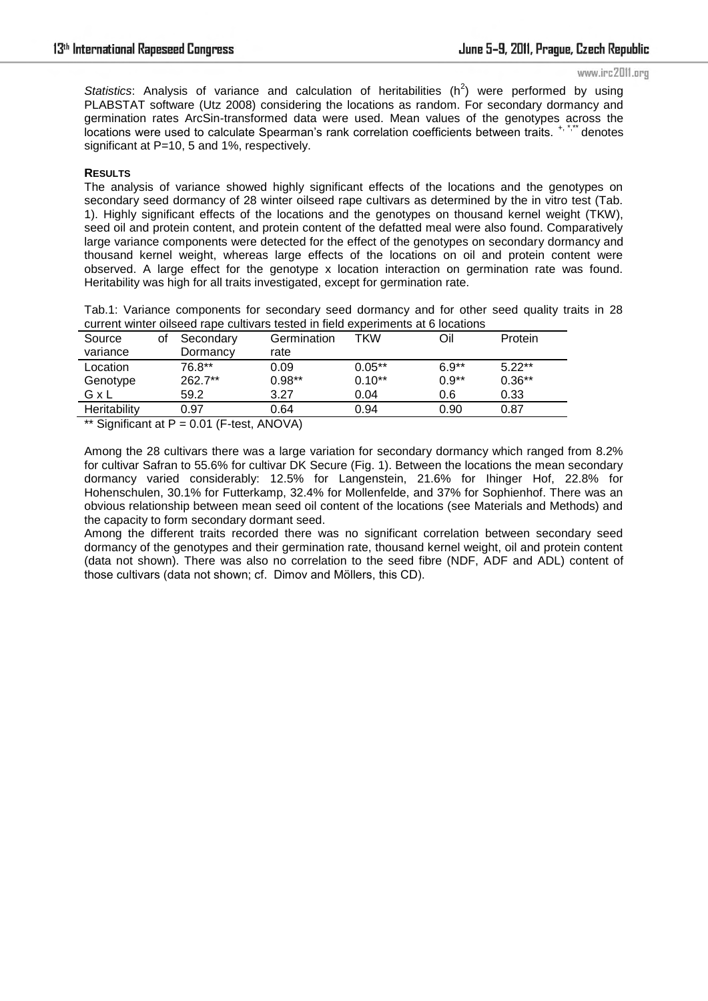www.irc2011.org

Statistics: Analysis of variance and calculation of heritabilities  $(h^2)$  were performed by using PLABSTAT software (Utz 2008) considering the locations as random. For secondary dormancy and germination rates ArcSin-transformed data were used. Mean values of the genotypes across the locations were used to calculate Spearman's rank correlation coefficients between traits. <sup>+, \*,\*\*</sup> denotes significant at P=10, 5 and 1%, respectively.

### **RESULTS**

The analysis of variance showed highly significant effects of the locations and the genotypes on secondary seed dormancy of 28 winter oilseed rape cultivars as determined by the in vitro test (Tab. 1). Highly significant effects of the locations and the genotypes on thousand kernel weight (TKW), seed oil and protein content, and protein content of the defatted meal were also found. Comparatively large variance components were detected for the effect of the genotypes on secondary dormancy and thousand kernel weight, whereas large effects of the locations on oil and protein content were observed. A large effect for the genotype x location interaction on germination rate was found. Heritability was high for all traits investigated, except for germination rate.

Tab.1: Variance components for secondary seed dormancy and for other seed quality traits in 28 current winter oilseed rape cultivars tested in field experiments at 6 locations

| Source<br>variance | οt | Secondary<br>Dormancy | Germination<br>rate | TKW      | Oil     | Protein  |
|--------------------|----|-----------------------|---------------------|----------|---------|----------|
| Location           |    | 76.8**                | 0.09                | $0.05**$ | $6.9**$ | $5.22**$ |
| Genotype           |    | 262.7**               | $0.98**$            | $0.10**$ | $0.9**$ | $0.36**$ |
| GxL                |    | 59.2                  | 3.27                | 0.04     | 0.6     | 0.33     |
| Heritability       |    | 0.97                  | 0.64                | 0.94     | 0.90    | 0.87     |

\*\* Significant at  $P = 0.01$  (F-test, ANOVA)

Among the 28 cultivars there was a large variation for secondary dormancy which ranged from 8.2% for cultivar Safran to 55.6% for cultivar DK Secure (Fig. 1). Between the locations the mean secondary dormancy varied considerably: 12.5% for Langenstein, 21.6% for Ihinger Hof, 22.8% for Hohenschulen, 30.1% for Futterkamp, 32.4% for Mollenfelde, and 37% for Sophienhof. There was an obvious relationship between mean seed oil content of the locations (see Materials and Methods) and the capacity to form secondary dormant seed.

Among the different traits recorded there was no significant correlation between secondary seed dormancy of the genotypes and their germination rate, thousand kernel weight, oil and protein content (data not shown). There was also no correlation to the seed fibre (NDF, ADF and ADL) content of those cultivars (data not shown; cf. Dimov and Möllers, this CD).